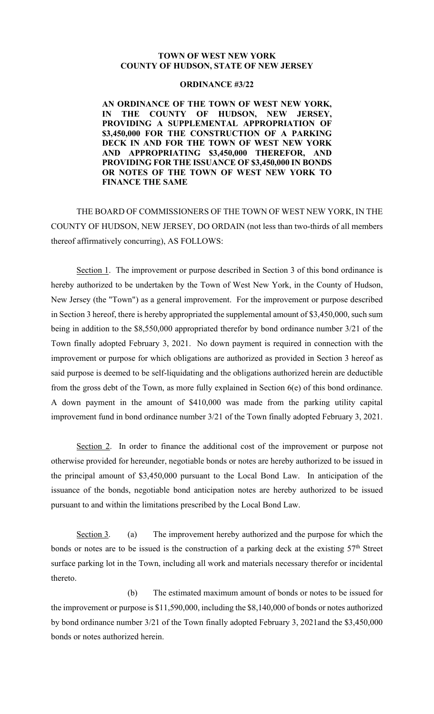## **TOWN OF WEST NEW YORK COUNTY OF HUDSON, STATE OF NEW JERSEY**

## **ORDINANCE #3/22**

**AN ORDINANCE OF THE TOWN OF WEST NEW YORK, IN THE COUNTY OF HUDSON, NEW JERSEY, PROVIDING A SUPPLEMENTAL APPROPRIATION OF \$3,450,000 FOR THE CONSTRUCTION OF A PARKING DECK IN AND FOR THE TOWN OF WEST NEW YORK AND APPROPRIATING \$3,450,000 THEREFOR, AND PROVIDING FOR THE ISSUANCE OF \$3,450,000 IN BONDS OR NOTES OF THE TOWN OF WEST NEW YORK TO FINANCE THE SAME**

THE BOARD OF COMMISSIONERS OF THE TOWN OF WEST NEW YORK, IN THE COUNTY OF HUDSON, NEW JERSEY, DO ORDAIN (not less than two-thirds of all members thereof affirmatively concurring), AS FOLLOWS:

Section 1. The improvement or purpose described in Section 3 of this bond ordinance is hereby authorized to be undertaken by the Town of West New York, in the County of Hudson, New Jersey (the "Town") as a general improvement. For the improvement or purpose described in Section 3 hereof, there is hereby appropriated the supplemental amount of \$3,450,000, such sum being in addition to the \$8,550,000 appropriated therefor by bond ordinance number 3/21 of the Town finally adopted February 3, 2021. No down payment is required in connection with the improvement or purpose for which obligations are authorized as provided in Section 3 hereof as said purpose is deemed to be self-liquidating and the obligations authorized herein are deductible from the gross debt of the Town, as more fully explained in Section 6(e) of this bond ordinance. A down payment in the amount of \$410,000 was made from the parking utility capital improvement fund in bond ordinance number 3/21 of the Town finally adopted February 3, 2021.

Section 2. In order to finance the additional cost of the improvement or purpose not otherwise provided for hereunder, negotiable bonds or notes are hereby authorized to be issued in the principal amount of \$3,450,000 pursuant to the Local Bond Law. In anticipation of the issuance of the bonds, negotiable bond anticipation notes are hereby authorized to be issued pursuant to and within the limitations prescribed by the Local Bond Law.

Section 3. (a) The improvement hereby authorized and the purpose for which the bonds or notes are to be issued is the construction of a parking deck at the existing 57<sup>th</sup> Street surface parking lot in the Town, including all work and materials necessary therefor or incidental thereto.

 (b) The estimated maximum amount of bonds or notes to be issued for the improvement or purpose is \$11,590,000, including the \$8,140,000 of bonds or notes authorized by bond ordinance number 3/21 of the Town finally adopted February 3, 2021and the \$3,450,000 bonds or notes authorized herein.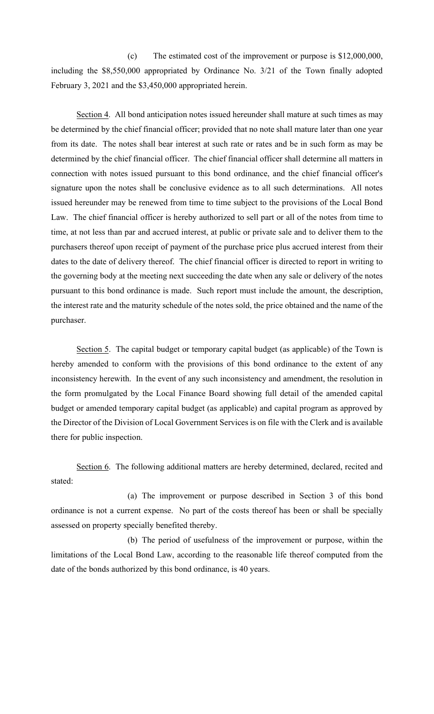(c) The estimated cost of the improvement or purpose is \$12,000,000, including the \$8,550,000 appropriated by Ordinance No. 3/21 of the Town finally adopted February 3, 2021 and the \$3,450,000 appropriated herein.

Section 4. All bond anticipation notes issued hereunder shall mature at such times as may be determined by the chief financial officer; provided that no note shall mature later than one year from its date. The notes shall bear interest at such rate or rates and be in such form as may be determined by the chief financial officer. The chief financial officer shall determine all matters in connection with notes issued pursuant to this bond ordinance, and the chief financial officer's signature upon the notes shall be conclusive evidence as to all such determinations. All notes issued hereunder may be renewed from time to time subject to the provisions of the Local Bond Law. The chief financial officer is hereby authorized to sell part or all of the notes from time to time, at not less than par and accrued interest, at public or private sale and to deliver them to the purchasers thereof upon receipt of payment of the purchase price plus accrued interest from their dates to the date of delivery thereof. The chief financial officer is directed to report in writing to the governing body at the meeting next succeeding the date when any sale or delivery of the notes pursuant to this bond ordinance is made. Such report must include the amount, the description, the interest rate and the maturity schedule of the notes sold, the price obtained and the name of the purchaser.

Section 5. The capital budget or temporary capital budget (as applicable) of the Town is hereby amended to conform with the provisions of this bond ordinance to the extent of any inconsistency herewith. In the event of any such inconsistency and amendment, the resolution in the form promulgated by the Local Finance Board showing full detail of the amended capital budget or amended temporary capital budget (as applicable) and capital program as approved by the Director of the Division of Local Government Services is on file with the Clerk and is available there for public inspection.

Section 6. The following additional matters are hereby determined, declared, recited and stated:

(a) The improvement or purpose described in Section 3 of this bond ordinance is not a current expense. No part of the costs thereof has been or shall be specially assessed on property specially benefited thereby.

(b) The period of usefulness of the improvement or purpose, within the limitations of the Local Bond Law, according to the reasonable life thereof computed from the date of the bonds authorized by this bond ordinance, is 40 years.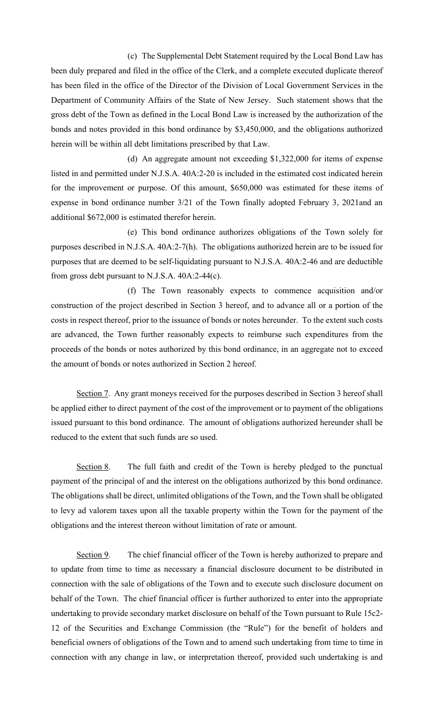(c) The Supplemental Debt Statement required by the Local Bond Law has been duly prepared and filed in the office of the Clerk, and a complete executed duplicate thereof has been filed in the office of the Director of the Division of Local Government Services in the Department of Community Affairs of the State of New Jersey. Such statement shows that the gross debt of the Town as defined in the Local Bond Law is increased by the authorization of the bonds and notes provided in this bond ordinance by \$3,450,000, and the obligations authorized herein will be within all debt limitations prescribed by that Law.

(d) An aggregate amount not exceeding \$1,322,000 for items of expense listed in and permitted under N.J.S.A. 40A:2-20 is included in the estimated cost indicated herein for the improvement or purpose. Of this amount, \$650,000 was estimated for these items of expense in bond ordinance number 3/21 of the Town finally adopted February 3, 2021and an additional \$672,000 is estimated therefor herein.

(e) This bond ordinance authorizes obligations of the Town solely for purposes described in N.J.S.A. 40A:2-7(h). The obligations authorized herein are to be issued for purposes that are deemed to be self-liquidating pursuant to N.J.S.A. 40A:2-46 and are deductible from gross debt pursuant to N.J.S.A. 40A:2-44(c).

(f) The Town reasonably expects to commence acquisition and/or construction of the project described in Section 3 hereof, and to advance all or a portion of the costs in respect thereof, prior to the issuance of bonds or notes hereunder. To the extent such costs are advanced, the Town further reasonably expects to reimburse such expenditures from the proceeds of the bonds or notes authorized by this bond ordinance, in an aggregate not to exceed the amount of bonds or notes authorized in Section 2 hereof.

Section 7. Any grant moneys received for the purposes described in Section 3 hereof shall be applied either to direct payment of the cost of the improvement or to payment of the obligations issued pursuant to this bond ordinance. The amount of obligations authorized hereunder shall be reduced to the extent that such funds are so used.

Section 8. The full faith and credit of the Town is hereby pledged to the punctual payment of the principal of and the interest on the obligations authorized by this bond ordinance. The obligations shall be direct, unlimited obligations of the Town, and the Town shall be obligated to levy ad valorem taxes upon all the taxable property within the Town for the payment of the obligations and the interest thereon without limitation of rate or amount.

Section 9. The chief financial officer of the Town is hereby authorized to prepare and to update from time to time as necessary a financial disclosure document to be distributed in connection with the sale of obligations of the Town and to execute such disclosure document on behalf of the Town. The chief financial officer is further authorized to enter into the appropriate undertaking to provide secondary market disclosure on behalf of the Town pursuant to Rule 15c2- 12 of the Securities and Exchange Commission (the "Rule") for the benefit of holders and beneficial owners of obligations of the Town and to amend such undertaking from time to time in connection with any change in law, or interpretation thereof, provided such undertaking is and